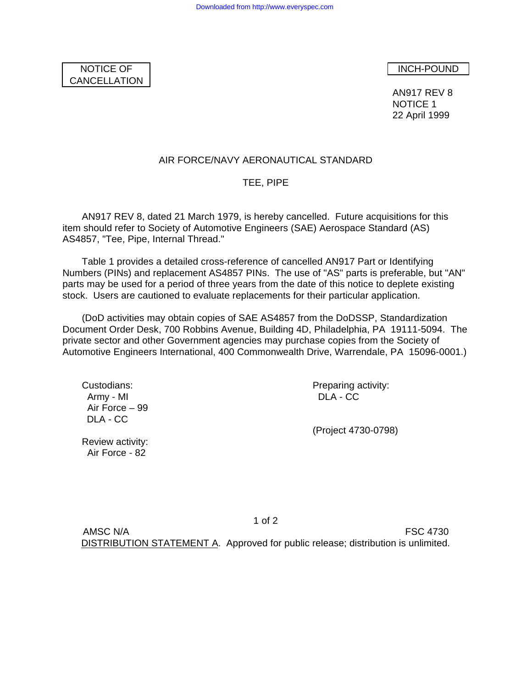

AN917 REV 8 NOTICE 1 22 April 1999

### AIR FORCE/NAVY AERONAUTICAL STANDARD

### TEE, PIPE

AN917 REV 8, dated 21 March 1979, is hereby cancelled. Future acquisitions for this item should refer to Society of Automotive Engineers (SAE) Aerospace Standard (AS) AS4857, "Tee, Pipe, Internal Thread."

Table 1 provides a detailed cross-reference of cancelled AN917 Part or Identifying Numbers (PINs) and replacement AS4857 PINs. The use of "AS" parts is preferable, but "AN" parts may be used for a period of three years from the date of this notice to deplete existing stock. Users are cautioned to evaluate replacements for their particular application.

(DoD activities may obtain copies of SAE AS4857 from the DoDSSP, Standardization Document Order Desk, 700 Robbins Avenue, Building 4D, Philadelphia, PA 19111-5094. The private sector and other Government agencies may purchase copies from the Society of Automotive Engineers International, 400 Commonwealth Drive, Warrendale, PA 15096-0001.)

Army - MI DLA - CC Air Force – 99 DLA - CC

Review activity: Air Force - 82

Custodians: Custodians: Preparing activity:

(Project 4730-0798)

1 of 2 AMSC N/A FSC 4730

DISTRIBUTION STATEMENT A. Approved for public release; distribution is unlimited.